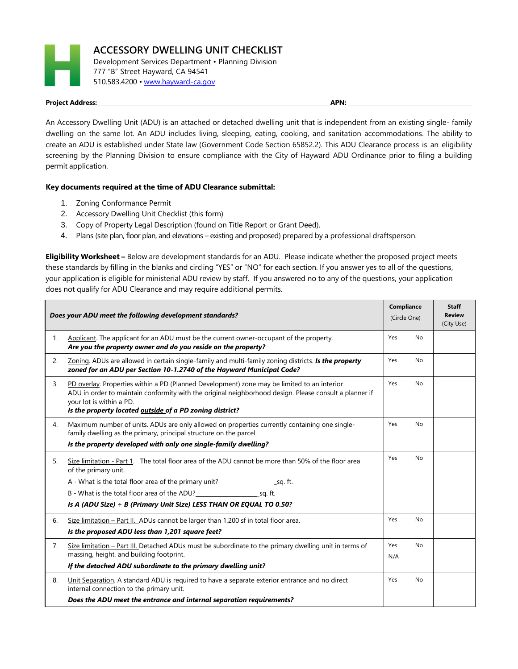

## **Project Address: APN:**

An Accessory Dwelling Unit (ADU) is an attached or detached dwelling unit that is independent from an existing single- family dwelling on the same lot. An ADU includes living, sleeping, eating, cooking, and sanitation accommodations. The ability to create an ADU is established under State law (Government Code Section 65852.2). This ADU Clearance process is an eligibility screening by the Planning Division to ensure compliance with the City of Hayward ADU Ordinance prior to filing a building permit application.

## **Key documents required at the time of ADU Clearance submittal:**

- 1. Zoning Conformance Permit
- 2. Accessory Dwelling Unit Checklist (this form)
- 3. Copy of Property Legal Description (found on Title Report or Grant Deed).
- 4. Plans (site plan, floor plan, and elevations existing and proposed) prepared by a professional draftsperson.

**Eligibility Worksheet –** Below are development standards for an ADU. Please indicate whether the proposed project meets these standards by filling in the blanks and circling "YES" or "NO" for each section. If you answer yes to all of the questions, your application is eligible for ministerial ADU review by staff. If you answered no to any of the questions, your application does not qualify for ADU Clearance and may require additional permits.

| Does your ADU meet the following development standards? |                                                                                                                                                                                                                                                                                               | Compliance<br>(Circle One) |    | <b>Staff</b><br><b>Review</b> |
|---------------------------------------------------------|-----------------------------------------------------------------------------------------------------------------------------------------------------------------------------------------------------------------------------------------------------------------------------------------------|----------------------------|----|-------------------------------|
|                                                         |                                                                                                                                                                                                                                                                                               |                            |    | (City Use)                    |
| 1.                                                      | Applicant. The applicant for an ADU must be the current owner-occupant of the property.<br>Are you the property owner and do you reside on the property?                                                                                                                                      | Yes                        | No |                               |
| 2.                                                      | Zoning. ADUs are allowed in certain single-family and multi-family zoning districts. Is the property<br>zoned for an ADU per Section 10-1.2740 of the Hayward Municipal Code?                                                                                                                 | Yes                        | No |                               |
| 3.                                                      | PD overlay. Properties within a PD (Planned Development) zone may be limited to an interior<br>ADU in order to maintain conformity with the original neighborhood design. Please consult a planner if<br>your lot is within a PD.<br>Is the property located outside of a PD zoning district? | Yes                        | No |                               |
| 4.                                                      | Maximum number of units. ADUs are only allowed on properties currently containing one single-<br>family dwelling as the primary, principal structure on the parcel.<br>Is the property developed with only one single-family dwelling?                                                        | Yes                        | No |                               |
| 5.                                                      | Size limitation - Part 1. The total floor area of the ADU cannot be more than 50% of the floor area<br>of the primary unit.                                                                                                                                                                   | Yes                        | No |                               |
|                                                         | A - What is the total floor area of the primary unit?<br>Sq. ft.                                                                                                                                                                                                                              |                            |    |                               |
|                                                         | B - What is the total floor area of the ADU?<br>sq. ft.                                                                                                                                                                                                                                       |                            |    |                               |
|                                                         | Is A (ADU Size) $\div$ B (Primary Unit Size) LESS THAN OR EQUAL TO 0.50?                                                                                                                                                                                                                      |                            |    |                               |
| 6.                                                      | Size limitation – Part II. ADUs cannot be larger than 1,200 sf in total floor area.                                                                                                                                                                                                           | Yes                        | No |                               |
|                                                         | Is the proposed ADU less than 1,201 square feet?                                                                                                                                                                                                                                              |                            |    |                               |
| 7.                                                      | Size limitation - Part III. Detached ADUs must be subordinate to the primary dwelling unit in terms of                                                                                                                                                                                        | Yes                        | No |                               |
|                                                         | massing, height, and building footprint.                                                                                                                                                                                                                                                      | N/A                        |    |                               |
|                                                         | If the detached ADU subordinate to the primary dwelling unit?                                                                                                                                                                                                                                 |                            |    |                               |
| 8.                                                      | Unit Separation. A standard ADU is required to have a separate exterior entrance and no direct<br>internal connection to the primary unit.                                                                                                                                                    | Yes                        | No |                               |
|                                                         | Does the ADU meet the entrance and internal separation requirements?                                                                                                                                                                                                                          |                            |    |                               |